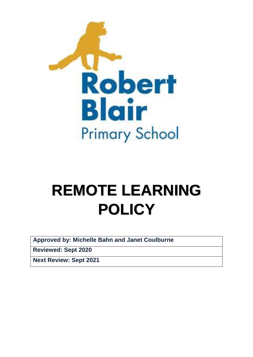

# **REMOTE LEARNING POLICY**

**Approved by: Michelle Bahn and Janet Coulburne** 

**Reviewed: Sept 2020**

**Next Review: Sept 2021**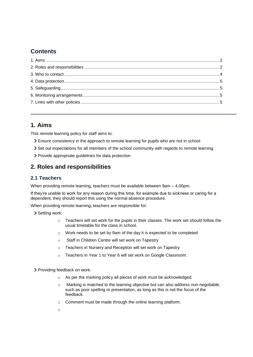# **Contents**

# <span id="page-1-0"></span>**1. Aims**

This remote learning policy for staff aims to:

- Ensure consistency in the approach to remote learning for pupils who are not in school
- Set out expectations for all members of the school community with regards to remote learning
- Provide appropriate guidelines for data protection

# <span id="page-1-1"></span>**2. Roles and responsibilities**

## **2.1 Teachers**

When providing remote learning, teachers must be available between 9am – 4.00pm.

If they're unable to work for any reason during this time, for example due to sickness or caring for a dependent, they should report this using the normal absence procedure.

When providing remote learning, teachers are responsible for:

- > Setting work:
	- o Teachers will set work for the pupils in their classes. The work set should follow the usual timetable for the class in school.
	- o Work needs to be set by 9am of the day it is expected to be completed
	- o Staff in Children Centre will set work on Tapestry
	- o Teachers in Nursery and Reception will set work on Tapestry
	- o Teachers in Year 1 to Year 6 will set work on Google Classroom.

> Providing feedback on work:

- o As per the marking policy all pieces of work must be acknowledged.
- $\circ$  Marking is matched to the learning objective but can also address non-negotiable, such as poor spelling or presentation, as long as this is not the focus of the feedback.
- o Comment must be made through the online learning platform.
- o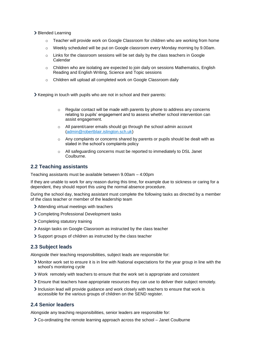- > Blended Learning
	- $\circ$  Teacher will provide work on Google Classroom for children who are working from home
	- $\circ$  Weekly scheduled will be put on Google classroom every Monday morning by 9.00am.
	- o Links for the classroom sessions will be set daily by the class teachers in Google Calendar
	- $\circ$  Children who are isolating are expected to join daily on sessions Mathematics, English Reading and English Writing, Science and Topic sessions
	- o Children will upload all completed work on Google Classroom daily

Xeeping in touch with pupils who are not in school and their parents:

- $\circ$  Regular contact will be made with parents by phone to address any concerns relating to pupils' engagement and to assess whether school intervention can assist engagement.
- o All parent/carer emails should go through the school admin account [\(admin@robertblair.islington.sch.uk\)](mailto:admin@robertblair.islington.sch.uk)
- $\circ$  Any complaints or concerns shared by parents or pupils should be dealt with as stated in the school's complaints policy
- o All safeguarding concerns must be reported to immediately to DSL Janet Coulburne.

## **2.2 Teaching assistants**

Teaching assistants must be available between 9.00am – 4:00pm

If they are unable to work for any reason during this time, for example due to sickness or caring for a dependent, they should report this using the normal absence procedure.

During the school day, teaching assistant must complete the following tasks as directed by a member of the class teacher or member of the leadership team

- Attending virtual meetings with teachers
- Completing Professional Development tasks
- > Completing statutory training
- Assign tasks on Google Classroom as instructed by the class teacher
- Support groups of children as instructed by the class teacher

## **2.3 Subject leads**

Alongside their teaching responsibilities, subject leads are responsible for:

- Monitor work set to ensure it is in line with National expectations for the year group in line with the school's monitoring cycle
- Work remotely with teachers to ensure that the work set is appropriate and consistent
- Ensure that teachers have appropriate resources they can use to deliver their subject remotely.
- Inclusion lead will provide quidance and work closely with teachers to ensure that work is accessible for the various groups of children on the SEND register.

## **2.4 Senior leaders**

Alongside any teaching responsibilities, senior leaders are responsible for:

Co-ordinating the remote learning approach across the school – Janet Coulburne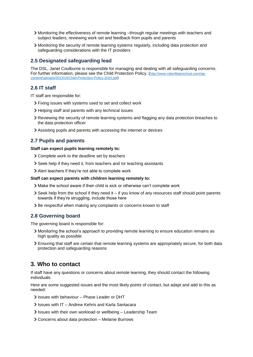- Monitoring the effectiveness of remote learning –through regular meetings with teachers and subject leaders, reviewing work set and feedback from pupils and parents
- Monitoring the security of remote learning systems regularly, including data protection and safeguarding considerations with the IT providers

## **2.5 Designated safeguarding lead**

The DSL, Janet Coulburne is responsible for managing and dealing with all safeguarding concerns. For further information, please see the Child Protection Policy. ([http://www.robertblairschool.com/wp](http://www.robertblairschool.com/wp-content/uploads/2013/10/Child-Protection-Policy-2020.pdf)[content/uploads/2013/10/Child-Protection-Policy-2020.pdf\)](http://www.robertblairschool.com/wp-content/uploads/2013/10/Child-Protection-Policy-2020.pdf)

## **2.6 IT staff**

IT staff are responsible for:

- Fixing issues with systems used to set and collect work
- > Helping staff and parents with any technical issues
- Reviewing the security of remote learning systems and flagging any data protection breaches to the data protection officer
- Assisting pupils and parents with accessing the internet or devices

### **2.7 Pupils and parents**

#### **Staff can expect pupils learning remotely to:**

- Complete work to the deadline set by teachers
- Seek help if they need it, from teachers and /or teaching assistants
- Alert teachers if they're not able to complete work

#### **Staff can expect parents with children learning remotely to:**

- Make the school aware if their child is sick or otherwise can't complete work
- Seek help from the school if they need it if you know of any resources staff should point parents towards if they're struggling, include those here
- > Be respectful when making any complaints or concerns known to staff

#### **2.8 Governing board**

The governing board is responsible for:

- Monitoring the school's approach to providing remote learning to ensure education remains as high quality as possible
- Ensuring that staff are certain that remote learning systems are appropriately secure, for both data protection and safeguarding reasons

## <span id="page-3-0"></span>**3. Who to contact**

If staff have any questions or concerns about remote learning, they should contact the following individuals:

Here are some suggested issues and the most likely points of contact, but adapt and add to this as needed:

- If Issues with behaviour Phase Leader or DHT
- Issues with IT Andrew Kehris and Karla Santacara
- $\ge$  Issues with their own workload or wellbeing Leadership Team
- Concerns about data protection Melanie Burrows